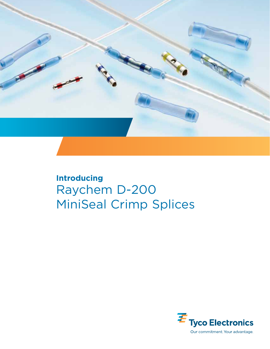

# **Introducing** Raychem D-200 MiniSeal Crimp Splices

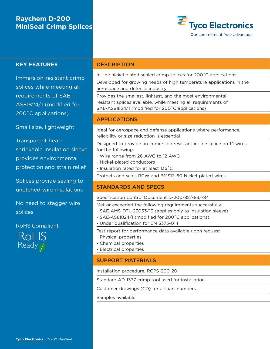# **Raychem D-200 MiniSeal Crimp Splices**



### **KEY FEATURES**

Immersion-resistant crimp splices while meeting all requirements of SAE-AS81824/1 (modified for 200˚C applications)

Small size, lightweight

Transparent heatshrinkable insulation sleeve provides environmental protection and strain relief

Splices provide sealing to unetched wire insulations

No need to stagger wire splices

RoHS Compliant



#### **DESCRIPTION**

In-line nickel plated sealed crimp splices for 200˚C applications

Developed for growing needs of high temperature applications in the aerospace and defense industry

Provides the smallest, lightest, and the most environmentalresistant splices available, while meeting all requirements of SAE-AS81824/1 (modified for 200˚C applications)

### APPLICATIONS

Ideal for aerospace and defense applications where performance, reliability or size reduction is essential

Designed to provide an immersion resistant in-line splice on 1:1 wires for the following:

- Wire range from 26 AWG to 12 AWG
- Nickel-plated conductors
- Insulation rated for at least 135˚C

Protects and seals RCW and BMS13-60 Nickel-plated wires

### STANDARDS AND SPECS

#### Specification Control Document D-200-82/-83/-84

Met or exceeded the following requirements successfully:

- SAE-AMS-DTL-23053/13 (applies only to insulation sleeve)
- SAE-AS81824/1 (modified for 200˚C applications)
- Under qualification for EN 3373-014

Test report for performance data available upon request

- Physical properties
- Chemical properties
- Electrical properties

### SUPPORT MATERIALS

Installation procedure, RCPS-200-20

Standard AD-1377 crimp tool used for installation

Customer drawings (CD) for all part numbers

Samples available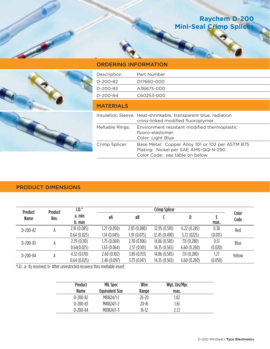# **Raychem D-200 Mini-Seal Crimp Splice**



## ORDERING INFORMATION

| Description      | Part Number                                                                                                                |  |
|------------------|----------------------------------------------------------------------------------------------------------------------------|--|
| D-200-82         | D17660-000                                                                                                                 |  |
| D-200-83         | A36675-000                                                                                                                 |  |
| D-200-84         | C60253-000                                                                                                                 |  |
| <b>MATERIALS</b> |                                                                                                                            |  |
|                  | Insulation Sleeve: Heat-shrinkable, transparent blue, radiation<br>cross-linked modified fluoroplymer                      |  |
| Meltable Rings:  | Environment resistant modified thermoplastic<br>fluoro-elastomer.<br>Color: Light Blue                                     |  |
| Crimp Splicer:   | Base Metal: Copper Alloy 101 or 102 per ASTM B75<br>Plating: Nickel per SAE AMS-QQ-N-290<br>Color Code: see table on below |  |

## PRODUCT DIMENSIONS

| <b>Product</b> | <b>Product</b><br>Rev. | $I.D.*$<br>a. min<br>b. max | <b>Crimp Splicer</b> |             |               |             |         |               |
|----------------|------------------------|-----------------------------|----------------------|-------------|---------------|-------------|---------|---------------|
| <b>Name</b>    |                        |                             | øA                   | øB          |               | D           | max.    | Color<br>Code |
| $D-200-82$     | А                      | 2.16(0.085)                 | 1.27(0.050)          | 2.03(0.080) | 12.95(0.510)  | 6.22(0.245) | 0.38    | Red           |
|                |                        | 0.64(0.025)                 | 1.14 (0.045)         | 1.91(0.075) | 12.45(0.490)  | 5.72 (0225) | (0.015) |               |
| $D-200-83$     | А                      | 2.79(0.110)                 | 1.75(0.069)          | 2.70(0.106) | 14.86 (0.585) | 7.11(0.280) | 0.51    | Blue          |
|                |                        | 0.64(0.025)                 | 1.63(0.064)          | 2.57(0.101) | 14.35(0.565)  | 6.60(0.260) | (0.020) |               |
| $D-200-84$     | А                      | 4.32(0.170)                 | 2.60(0.102)          | 3.89(0.153) | 14.86 (0.585) | 7.11(0.280) | 1.27    | Yellow        |
|                |                        | 0.64(0.025)                 | 2.46(0.097)          | 3.73(0.147) | 14.35(0.565)  | 6.60(0.260) | (0.050) |               |

\*I.D.: a- As received; b- After unrestricted recovery thru meltable insert.

| <b>Product</b> | <b>MIL Spec</b>        | Wire      | Wgt. Lbs/Mpc |  |
|----------------|------------------------|-----------|--------------|--|
| <b>Name</b>    | <b>Equivalent Size</b> | Range     | max.         |  |
| $D-200-82$     | M81824/1-1             | $26 - 20$ | 1.02         |  |
| $D-200-83$     | M81824/1-2             | $20 - 16$ | 1.61         |  |
| $D-200-84$     | M81824/1-3             | 16-12     | 2.72         |  |